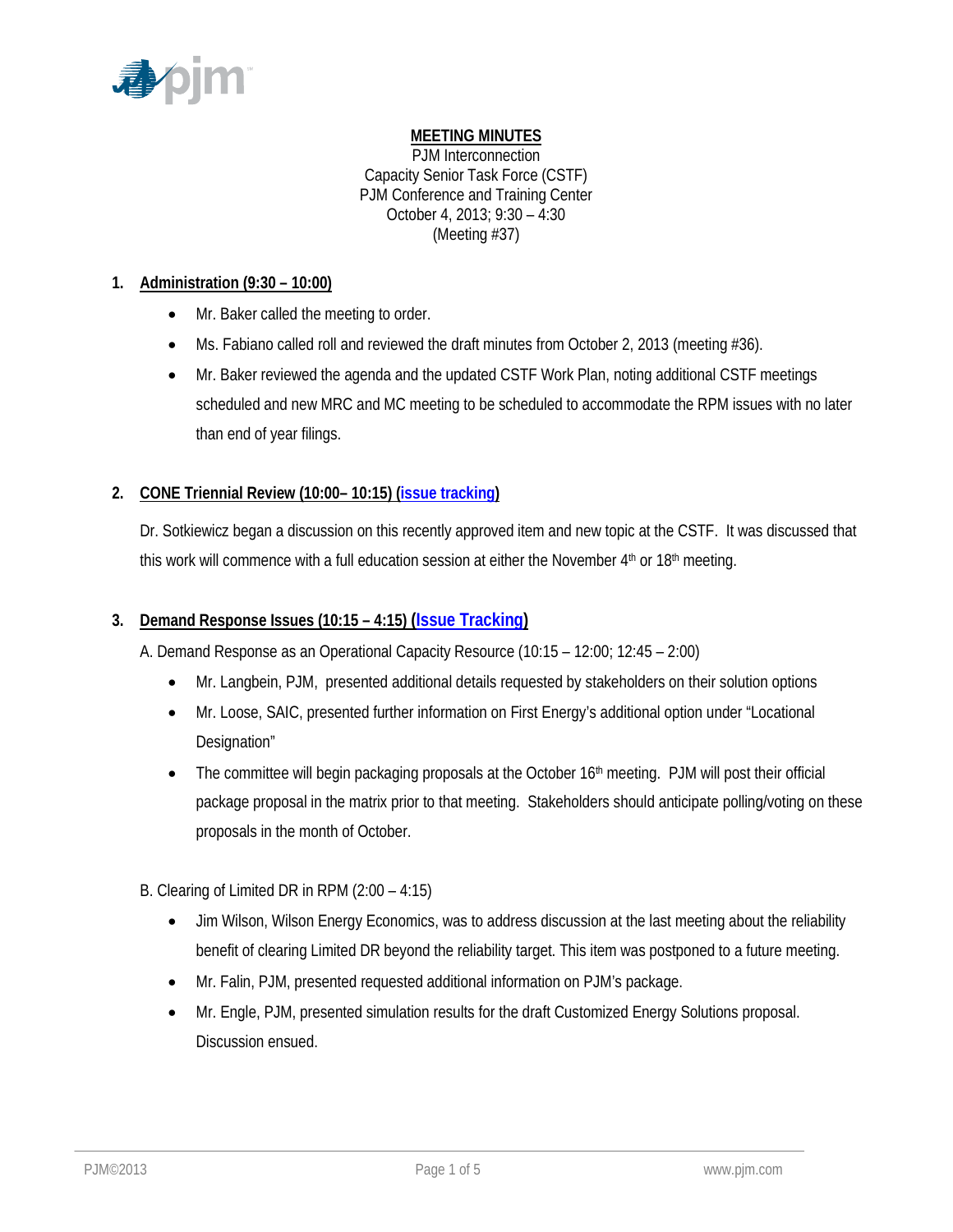

# **MEETING MINUTES**

PJM Interconnection Capacity Senior Task Force (CSTF) PJM Conference and Training Center October 4, 2013; 9:30 – 4:30 (Meeting #37)

## **1. Administration (9:30 – 10:00)**

- Mr. Baker called the meeting to order.
- Ms. Fabiano called roll and reviewed the draft minutes from October 2, 2013 (meeting #36).
- Mr. Baker reviewed the agenda and the updated CSTF Work Plan, noting additional CSTF meetings scheduled and new MRC and MC meeting to be scheduled to accommodate the RPM issues with no later than end of year filings.

# **2. CONE Triennial Review (10:00– 10:15) [\(issue tracking\)](http://www.pjm.com/committees-and-groups/issue-tracking/issue-tracking-details.aspx?Issue=%7bE4A0F3EC-E7F8-4ABD-853F-4D43F8D50103%7d)**

Dr. Sotkiewicz began a discussion on this recently approved item and new topic at the CSTF. It was discussed that this work will commence with a full education session at either the November  $4<sup>th</sup>$  or  $18<sup>th</sup>$  meeting.

## **3. Demand Response Issues (10:15 – 4:15) [\(Issue Tracking\)](http://www.pjm.com/committees-and-groups/issue-tracking/issue-tracking-details.aspx?Issue=%7bAEA1F820-69C5-414E-A040-6D52B2036E29%7d)**

A. Demand Response as an Operational Capacity Resource (10:15 – 12:00; 12:45 – 2:00)

- Mr. Langbein, PJM, presented additional details requested by stakeholders on their solution options
- Mr. Loose, SAIC, presented further information on First Energy's additional option under "Locational Designation"
- The committee will begin packaging proposals at the October  $16<sup>th</sup>$  meeting. PJM will post their official package proposal in the matrix prior to that meeting. Stakeholders should anticipate polling/voting on these proposals in the month of October.

## B. Clearing of Limited DR in RPM (2:00 – 4:15)

- Jim Wilson, Wilson Energy Economics, was to address discussion at the last meeting about the reliability benefit of clearing Limited DR beyond the reliability target. This item was postponed to a future meeting.
- Mr. Falin, PJM, presented requested additional information on PJM's package.
- Mr. Engle, PJM, presented simulation results for the draft Customized Energy Solutions proposal. Discussion ensued.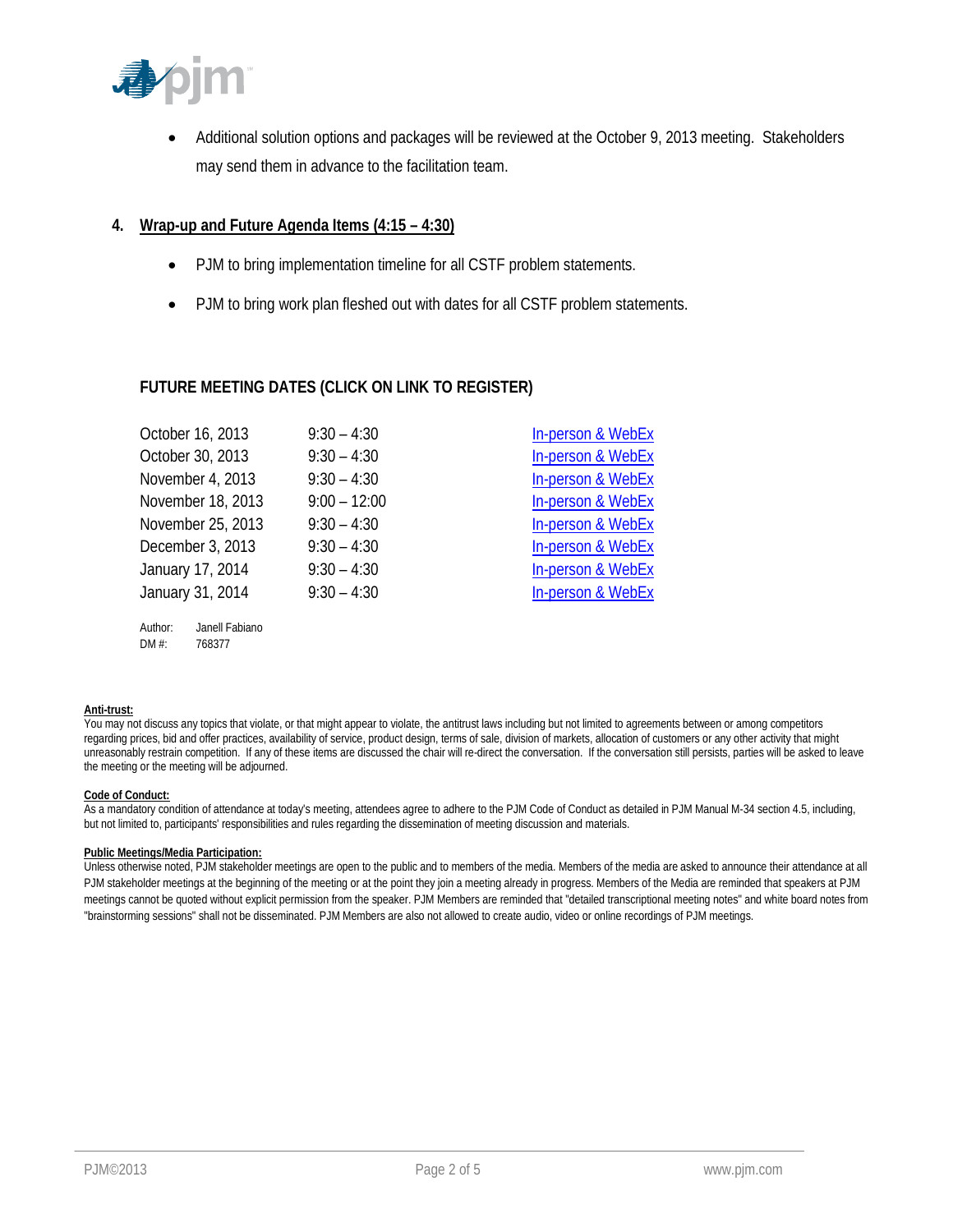

• Additional solution options and packages will be reviewed at the October 9, 2013 meeting. Stakeholders may send them in advance to the facilitation team.

### **4. Wrap-up and Future Agenda Items (4:15 – 4:30)**

- PJM to bring implementation timeline for all CSTF problem statements.
- PJM to bring work plan fleshed out with dates for all CSTF problem statements.

### **FUTURE MEETING DATES (CLICK ON LINK TO REGISTER)**

| October 16, 2013          | $9:30 - 4:30$  | In-person & WebEx            |
|---------------------------|----------------|------------------------------|
| October 30, 2013          | $9:30 - 4:30$  | In-person & WebEx            |
| November 4, 2013          | $9:30 - 4:30$  | In-person & WebEx            |
| November 18, 2013         | $9:00 - 12:00$ | In-person & WebEx            |
| November 25, 2013         | $9:30 - 4:30$  | In-person & WebEx            |
| December 3, 2013          | $9:30 - 4:30$  | <b>In-person &amp; WebEx</b> |
| January 17, 2014          | $9:30 - 4:30$  | In-person & WebEx            |
| January 31, 2014          | $9:30 - 4:30$  | In-person & WebEx            |
| Author:<br>Janell Fabiano |                |                              |

#### **Anti-trust:**

You may not discuss any topics that violate, or that might appear to violate, the antitrust laws including but not limited to agreements between or among competitors regarding prices, bid and offer practices, availability of service, product design, terms of sale, division of markets, allocation of customers or any other activity that might unreasonably restrain competition. If any of these items are discussed the chair will re-direct the conversation. If the conversation still persists, parties will be asked to leave the meeting or the meeting will be adjourned.

#### **Code of Conduct:**

As a mandatory condition of attendance at today's meeting, attendees agree to adhere to the PJM Code of Conduct as detailed in PJM Manual M-34 section 4.5, including, but not limited to, participants' responsibilities and rules regarding the dissemination of meeting discussion and materials.

#### **Public Meetings/Media Participation:**

DM #: 768377

Unless otherwise noted, PJM stakeholder meetings are open to the public and to members of the media. Members of the media are asked to announce their attendance at all PJM stakeholder meetings at the beginning of the meeting or at the point they join a meeting already in progress. Members of the Media are reminded that speakers at PJM meetings cannot be quoted without explicit permission from the speaker. PJM Members are reminded that "detailed transcriptional meeting notes" and white board notes from "brainstorming sessions" shall not be disseminated. PJM Members are also not allowed to create audio, video or online recordings of PJM meetings.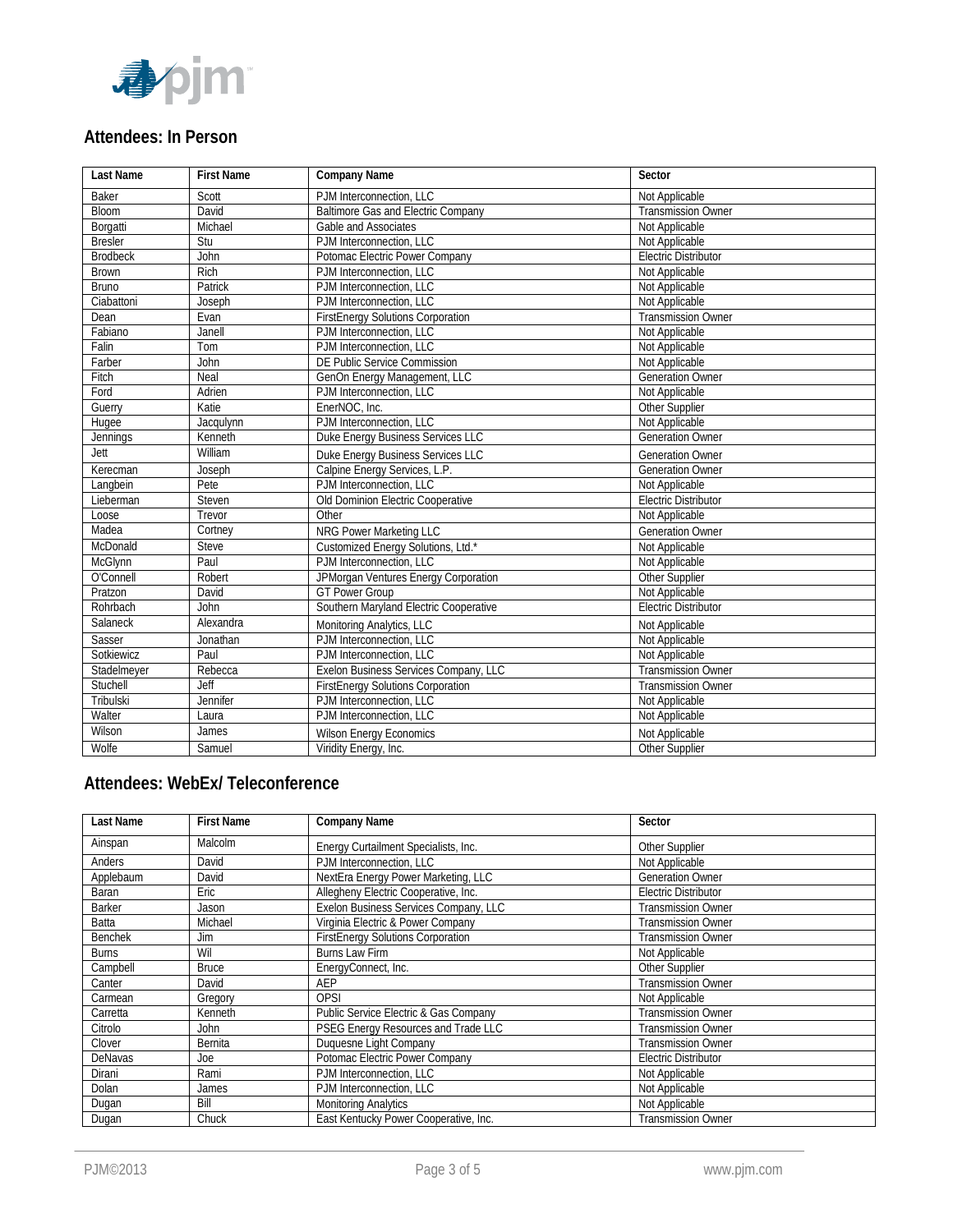

# **Attendees: In Person**

| <b>Last Name</b> | <b>First Name</b> | <b>Company Name</b>                      | Sector                      |
|------------------|-------------------|------------------------------------------|-----------------------------|
| Baker            | Scott             | PJM Interconnection, LLC                 | Not Applicable              |
| <b>Bloom</b>     | David             | Baltimore Gas and Electric Company       | <b>Transmission Owner</b>   |
| Borgatti         | Michael           | Gable and Associates                     | Not Applicable              |
| <b>Bresler</b>   | Stu               | PJM Interconnection, LLC                 | Not Applicable              |
| <b>Brodbeck</b>  | John              | Potomac Electric Power Company           | <b>Electric Distributor</b> |
| <b>Brown</b>     | Rich              | PJM Interconnection, LLC                 | Not Applicable              |
| <b>Bruno</b>     | Patrick           | PJM Interconnection, LLC                 | Not Applicable              |
| Ciabattoni       | Joseph            | PJM Interconnection, LLC                 | Not Applicable              |
| Dean             | Evan              | <b>FirstEnergy Solutions Corporation</b> | <b>Transmission Owner</b>   |
| Fabiano          | Janell            | PJM Interconnection, LLC                 | Not Applicable              |
| Falin            | Tom               | PJM Interconnection, LLC                 | Not Applicable              |
| Farber           | John              | DE Public Service Commission             | Not Applicable              |
| Fitch            | Neal              | GenOn Energy Management, LLC             | <b>Generation Owner</b>     |
| Ford             | Adrien            | PJM Interconnection, LLC                 | Not Applicable              |
| Guerry           | Katie             | EnerNOC, Inc.                            | Other Supplier              |
| Hugee            | Jacqulynn         | PJM Interconnection, LLC                 | Not Applicable              |
| <b>Jennings</b>  | Kenneth           | Duke Energy Business Services LLC        | <b>Generation Owner</b>     |
| Jett             | William           | Duke Energy Business Services LLC        | <b>Generation Owner</b>     |
| Kerecman         | Joseph            | Calpine Energy Services, L.P.            | <b>Generation Owner</b>     |
| Langbein         | Pete              | PJM Interconnection, LLC                 | Not Applicable              |
| Lieberman        | Steven            | Old Dominion Electric Cooperative        | <b>Electric Distributor</b> |
| Loose            | Trevor            | Other                                    | Not Applicable              |
| Madea            | Cortney           | NRG Power Marketing LLC                  | <b>Generation Owner</b>     |
| McDonald         | Steve             | Customized Energy Solutions, Ltd.*       | Not Applicable              |
| McGlynn          | Paul              | PJM Interconnection, LLC                 | Not Applicable              |
| O'Connell        | Robert            | JPMorgan Ventures Energy Corporation     | Other Supplier              |
| Pratzon          | David             | <b>GT Power Group</b>                    | Not Applicable              |
| Rohrbach         | John              | Southern Maryland Electric Cooperative   | <b>Electric Distributor</b> |
| Salaneck         | Alexandra         | Monitoring Analytics, LLC                | Not Applicable              |
| Sasser           | Jonathan          | PJM Interconnection, LLC                 | Not Applicable              |
| Sotkiewicz       | Paul              | PJM Interconnection, LLC                 | Not Applicable              |
| Stadelmeyer      | Rebecca           | Exelon Business Services Company, LLC    | <b>Transmission Owner</b>   |
| Stuchell         | Jeff              | <b>FirstEnergy Solutions Corporation</b> | <b>Transmission Owner</b>   |
| Tribulski        | <b>Jennifer</b>   | PJM Interconnection, LLC                 | Not Applicable              |
| Walter           | Laura             | PJM Interconnection, LLC                 | Not Applicable              |
| Wilson           | James             | <b>Wilson Energy Economics</b>           | Not Applicable              |
| Wolfe            | Samuel            | Viridity Energy, Inc.                    | <b>Other Supplier</b>       |

# **Attendees: WebEx/ Teleconference**

| Last Name      | <b>First Name</b> | <b>Company Name</b>                      | Sector                      |
|----------------|-------------------|------------------------------------------|-----------------------------|
| Ainspan        | Malcolm           | Energy Curtailment Specialists, Inc.     | Other Supplier              |
| Anders         | David             | PJM Interconnection, LLC                 | Not Applicable              |
| Applebaum      | David             | NextEra Energy Power Marketing, LLC      | <b>Generation Owner</b>     |
| <b>Baran</b>   | Eric              | Allegheny Electric Cooperative, Inc.     | <b>Electric Distributor</b> |
| <b>Barker</b>  | Jason             | Exelon Business Services Company, LLC    | <b>Transmission Owner</b>   |
| Batta          | Michael           | Virginia Electric & Power Company        | <b>Transmission Owner</b>   |
| <b>Benchek</b> | Jim               | <b>FirstEnergy Solutions Corporation</b> | <b>Transmission Owner</b>   |
| <b>Burns</b>   | Wil               | Burns Law Firm                           | Not Applicable              |
| Campbell       | <b>Bruce</b>      | EnergyConnect, Inc.                      | Other Supplier              |
| Canter         | David             | AEP                                      | <b>Transmission Owner</b>   |
| Carmean        | Gregory           | OPSI                                     | Not Applicable              |
| Carretta       | Kenneth           | Public Service Electric & Gas Company    | <b>Transmission Owner</b>   |
| Citrolo        | John.             | PSEG Energy Resources and Trade LLC      | <b>Transmission Owner</b>   |
| Clover         | <b>Bernita</b>    | Duquesne Light Company                   | <b>Transmission Owner</b>   |
| DeNavas        | Joe               | Potomac Electric Power Company           | <b>Electric Distributor</b> |
| Dirani         | Rami              | PJM Interconnection, LLC                 | Not Applicable              |
| Dolan          | James             | PJM Interconnection, LLC                 | Not Applicable              |
| Dugan          | Bill              | <b>Monitoring Analytics</b>              | Not Applicable              |
| Dugan          | Chuck             | East Kentucky Power Cooperative, Inc.    | <b>Transmission Owner</b>   |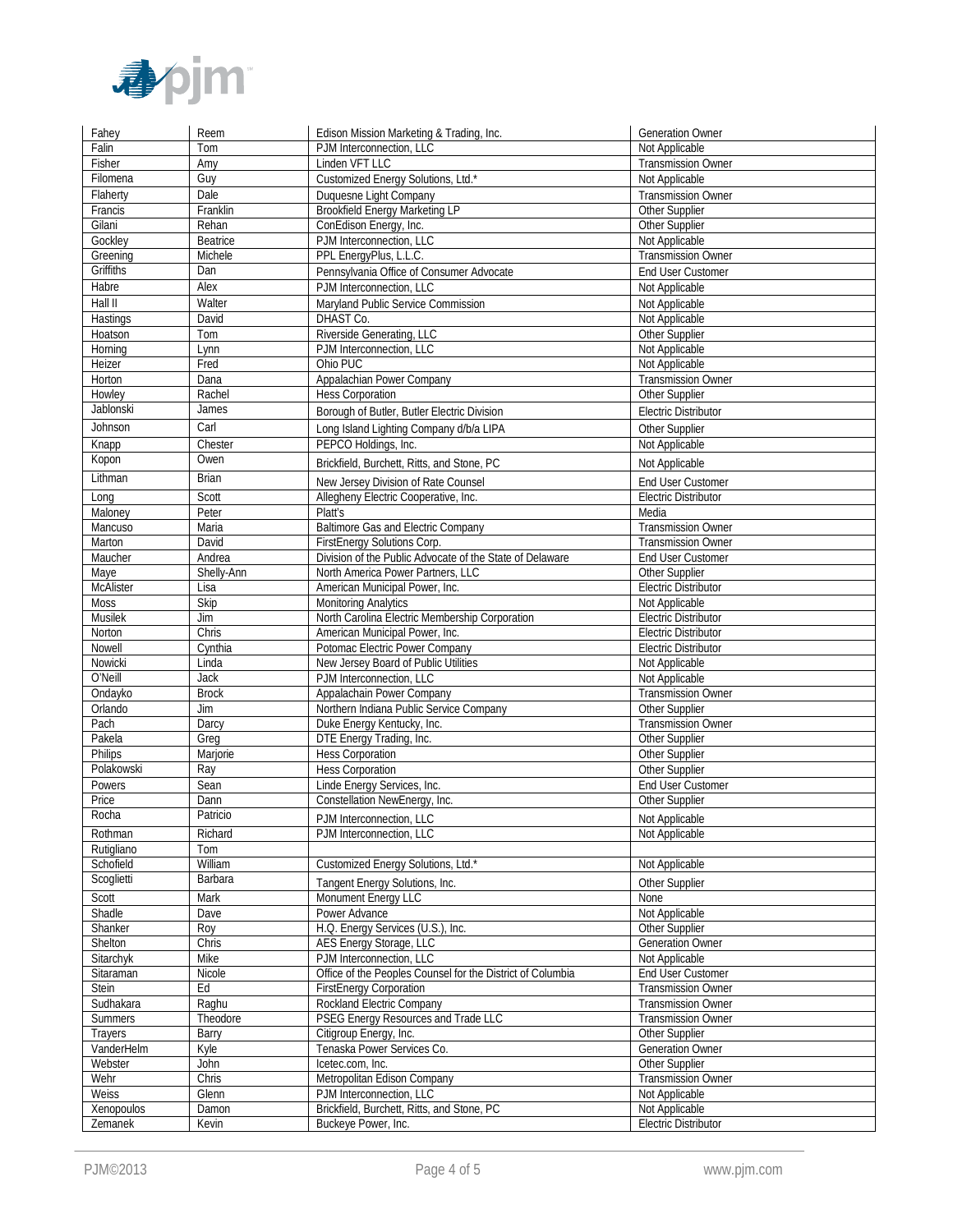

| Fahey                 | Reem            | Edison Mission Marketing & Trading, Inc.                          | <b>Generation Owner</b>                       |
|-----------------------|-----------------|-------------------------------------------------------------------|-----------------------------------------------|
| Falin                 | Tom             | PJM Interconnection, LLC                                          | Not Applicable                                |
| Fisher                | Amy             | Linden VFT LLC                                                    | <b>Transmission Owner</b>                     |
| Filomena              | Guy             | Customized Energy Solutions, Ltd.*                                | Not Applicable                                |
| Flaherty              | Dale            | Duquesne Light Company                                            | <b>Transmission Owner</b>                     |
| Francis               | Franklin        | <b>Brookfield Energy Marketing LP</b>                             | Other Supplier                                |
| Gilani                | Rehan           | ConEdison Energy, Inc.                                            | Other Supplier                                |
| Gockley               | <b>Beatrice</b> | PJM Interconnection, LLC                                          | Not Applicable                                |
| Greening              | Michele         | PPL EnergyPlus, L.L.C.                                            | <b>Transmission Owner</b>                     |
| Griffiths             | Dan             | Pennsylvania Office of Consumer Advocate                          | End User Customer                             |
| Habre                 | Alex            | PJM Interconnection, LLC                                          | Not Applicable                                |
| Hall II               | Walter          | Maryland Public Service Commission                                | Not Applicable                                |
| Hastings              | David           | DHAST Co.                                                         | Not Applicable                                |
| Hoatson               | Tom             | Riverside Generating, LLC                                         | Other Supplier                                |
| Horning               | Lynn            | PJM Interconnection, LLC                                          | Not Applicable                                |
| Heizer                | Fred            | Ohio PUC                                                          | Not Applicable                                |
| Horton                | Dana            | Appalachian Power Company                                         | <b>Transmission Owner</b>                     |
| Howley                | Rachel          | <b>Hess Corporation</b>                                           | Other Supplier                                |
| Jablonski             | James           | Borough of Butler, Butler Electric Division                       | <b>Electric Distributor</b>                   |
| Johnson               | Carl            | Long Island Lighting Company d/b/a LIPA                           | Other Supplier                                |
| Knapp                 | Chester         | PEPCO Holdings, Inc.                                              | Not Applicable                                |
|                       | Owen            |                                                                   |                                               |
| Kopon                 |                 | Brickfield, Burchett, Ritts, and Stone, PC                        | Not Applicable                                |
| Lithman               | <b>Brian</b>    | New Jersey Division of Rate Counsel                               | End User Customer                             |
| Long                  | Scott           | Allegheny Electric Cooperative, Inc.                              | <b>Electric Distributor</b>                   |
| Maloney               | Peter           | Platt's                                                           | Media                                         |
| Mancuso               | Maria           | <b>Baltimore Gas and Electric Company</b>                         | <b>Transmission Owner</b>                     |
| Marton                | David           | FirstEnergy Solutions Corp.                                       | <b>Transmission Owner</b>                     |
| Maucher               | Andrea          | Division of the Public Advocate of the State of Delaware          | End User Customer                             |
| Maye                  | Shelly-Ann      | North America Power Partners, LLC                                 | Other Supplier                                |
| <b>McAlister</b>      | Lisa            | American Municipal Power, Inc.                                    | <b>Electric Distributor</b>                   |
| Moss                  | <b>Skip</b>     | <b>Monitoring Analytics</b>                                       | Not Applicable                                |
| Musilek               | Jim             | North Carolina Electric Membership Corporation                    | <b>Electric Distributor</b>                   |
| Norton                | Chris           | American Municipal Power, Inc.                                    | <b>Electric Distributor</b>                   |
| Nowell                | Cynthia         | Potomac Electric Power Company                                    | <b>Electric Distributor</b>                   |
| Nowicki               | Linda           | New Jersey Board of Public Utilities                              | Not Applicable                                |
| O'Neill               | Jack            | PJM Interconnection, LLC                                          | Not Applicable                                |
| Ondayko               | <b>Brock</b>    | Appalachain Power Company                                         | <b>Transmission Owner</b>                     |
| Orlando               | Jim             | Northern Indiana Public Service Company                           | Other Supplier                                |
| Pach                  | Darcy           | Duke Energy Kentucky, Inc.                                        | <b>Transmission Owner</b>                     |
|                       |                 |                                                                   |                                               |
| Pakela                | Greg            | DTE Energy Trading, Inc.                                          | Other Supplier                                |
| Philips               | Marjorie        | <b>Hess Corporation</b>                                           | Other Supplier                                |
| Polakowski            | Ray             | Hess Corporation                                                  | Other Supplier                                |
| Powers                | Sean            | Linde Energy Services, Inc.                                       | End User Customer                             |
| Price                 | Dann            | Constellation NewEnergy, Inc.                                     | Other Supplier                                |
| Rocha                 | Patricio        | PJM Interconnection, LLC                                          | Not Applicable                                |
| Rothman               | Richard         | PJM Interconnection, LLC                                          | Not Applicable                                |
| Rutigliano            | Tom             |                                                                   |                                               |
| Schofield             | William         | Customized Energy Solutions, Ltd.*                                | Not Applicable                                |
| Scoglietti            | Barbara         | Tangent Energy Solutions, Inc.                                    | Other Supplier                                |
| Scott                 | Mark            | Monument Energy LLC                                               | None                                          |
|                       | Dave            | Power Advance                                                     |                                               |
| Shadle<br>Shanker     | Roy             | H.Q. Energy Services (U.S.), Inc.                                 | Not Applicable<br>Other Supplier              |
|                       | Chris           |                                                                   |                                               |
| Shelton<br>Sitarchyk  | Mike            | AES Energy Storage, LLC<br>PJM Interconnection, LLC               | Generation Owner<br>Not Applicable            |
| Sitaraman             | Nicole          | Office of the Peoples Counsel for the District of Columbia        | <b>End User Customer</b>                      |
| Stein                 | Ed              | <b>FirstEnergy Corporation</b>                                    | <b>Transmission Owner</b>                     |
| Sudhakara             | Raghu           | Rockland Electric Company                                         | <b>Transmission Owner</b>                     |
| Summers               | Theodore        | PSEG Energy Resources and Trade LLC                               | <b>Transmission Owner</b>                     |
| Trayers               | Barry           | Citigroup Energy, Inc.                                            | Other Supplier                                |
| VanderHelm            | Kyle            | Tenaska Power Services Co.                                        | Generation Owner                              |
| Webster               | John            | Icetec.com, Inc.                                                  | Other Supplier                                |
| Wehr                  | Chris           | Metropolitan Edison Company                                       | <b>Transmission Owner</b>                     |
| Weiss                 | Glenn           | PJM Interconnection, LLC                                          | Not Applicable                                |
| Xenopoulos<br>Zemanek | Damon<br>Kevin  | Brickfield, Burchett, Ritts, and Stone, PC<br>Buckeye Power, Inc. | Not Applicable<br><b>Electric Distributor</b> |